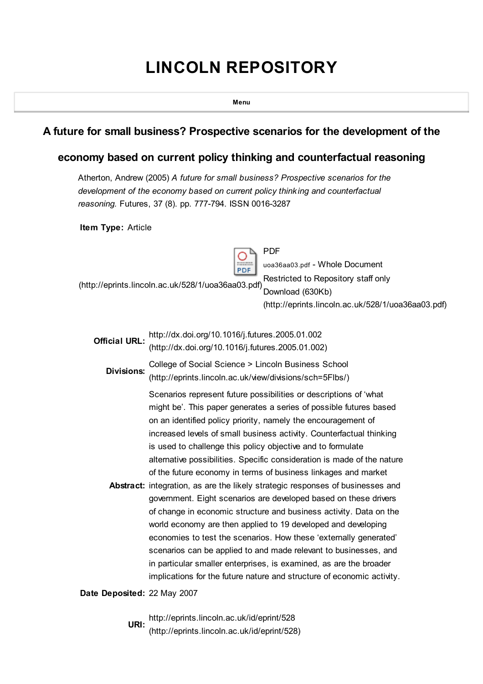# LINCOLN REPOSITORY

Menu

## A future for small business? Prospective scenarios for the development of the

### economy based on current policy thinking and counterfactual reasoning

Atherton, Andrew (2005) A future for small business? Prospective scenarios for the development of the economy based on current policy thinking and counterfactual reasoning. Futures, 37 (8). pp. 777-794. ISSN 0016-3287

Item Type: Article

PDF PDF

[\(http://eprints.lincoln.ac.uk/528/1/uoa36aa03.pdf\)](http://eprints.lincoln.ac.uk/528/1/uoa36aa03.pdf)

uoa36aa03.pdf - Whole Document Restricted to Repository staff only Download (630Kb)

[\(http://eprints.lincoln.ac.uk/528/1/uoa36aa03.pdf\)](http://eprints.lincoln.ac.uk/528/1/uoa36aa03.pdf)

Official URL: http://dx.doi.org/10.1016/j.futures.2005.01.002 [\(http://dx.doi.org/10.1016/j.futures.2005.01.002\)](http://dx.doi.org/10.1016/j.futures.2005.01.002)

Divisions: College of Social Science > Lincoln Business School [\(http://eprints.lincoln.ac.uk/view/divisions/sch=5Flbs/\)](http://eprints.lincoln.ac.uk/view/divisions/sch=5Flbs/)

Scenarios represent future possibilities or descriptions of 'what might be'. This paper generates a series of possible futures based on an identified policy priority, namely the encouragement of increased levels of small business activity. Counterfactual thinking is used to challenge this policy objective and to formulate alternative possibilities. Specific consideration is made of the nature of the future economy in terms of business linkages and market

Abstract: integration, as are the likely strategic responses of businesses and government. Eight scenarios are developed based on these drivers of change in economic structure and business activity. Data on the world economy are then applied to 19 developed and developing economies to test the scenarios. How these 'externally generated' scenarios can be applied to and made relevant to businesses, and in particular smaller enterprises, is examined, as are the broader implications for the future nature and structure of economic activity.

Date Deposited: 22 May 2007

URI: http://eprints.lincoln.ac.uk/id/eprint/528 [\(http://eprints.lincoln.ac.uk/id/eprint/528\)](http://eprints.lincoln.ac.uk/id/eprint/528)